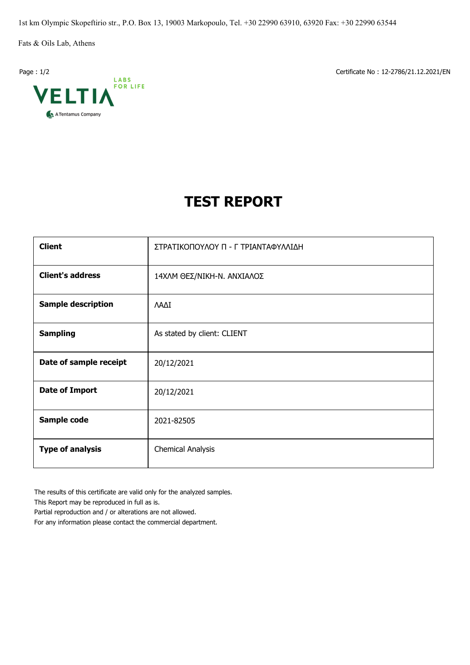1st km Olympic Skopeftirio str., P.O. Box 13, 19003 Markopoulo, Tel. +30 22990 63910, 63920 Fax: +30 22990 63544

Fats & Oils Lab, Athens



Page : 1/2 Certificate No : 12-2786/21.12.2021/EN

## **TEST REPORT**

| <b>Client</b>             | ΣΤΡΑΤΙΚΟΠΟΥΛΟΥ Π - Γ ΤΡΙΑΝΤΑΦΥΛΛΙΔΗ |  |  |  |  |
|---------------------------|-------------------------------------|--|--|--|--|
| <b>Client's address</b>   | 14ΧΛΜ ΘΕΣ/ΝΙΚΗ-Ν. ΑΝΧΙΑΛΟΣ          |  |  |  |  |
| <b>Sample description</b> | ΛΑΔΙ                                |  |  |  |  |
| <b>Sampling</b>           | As stated by client: CLIENT         |  |  |  |  |
| Date of sample receipt    | 20/12/2021                          |  |  |  |  |
| <b>Date of Import</b>     | 20/12/2021                          |  |  |  |  |
| Sample code               | 2021-82505                          |  |  |  |  |
| <b>Type of analysis</b>   | <b>Chemical Analysis</b>            |  |  |  |  |

The results of this certificate are valid only for the analyzed samples.

This Report may be reproduced in full as is.

Partial reproduction and / or alterations are not allowed.

For any information please contact the commercial department.